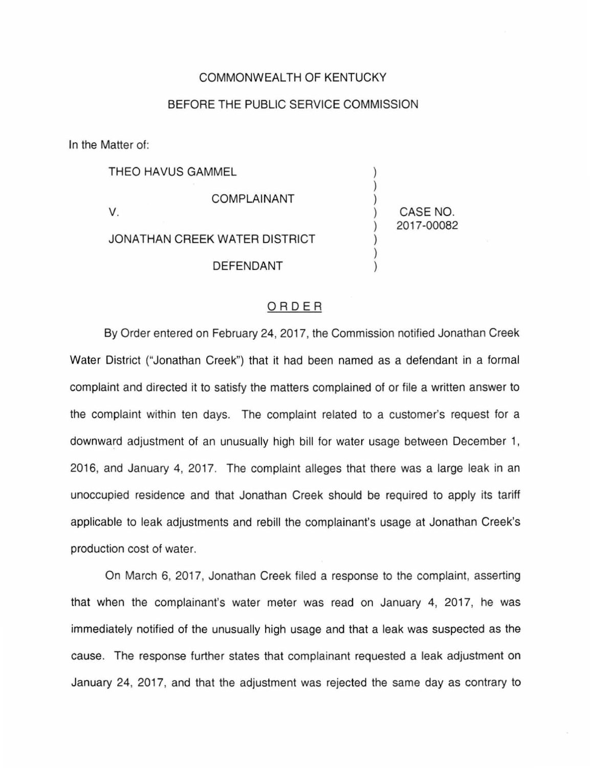## COMMONWEALTH OF KENTUCKY

## BEFORE THE PUBLIC SERVICE COMMISSION

In the Matter of:

THEO HAVUS GAMMEL

V.

JONATHAN CREEK WATER DISTRICT DEFENDANT

COMPLAINANT

) CASE NO. ) 2017-00082

) ) )

> ) ) )

## ORDER

By Order entered on February 24, 2017, the Commission notified Jonathan Creek Water District ("Jonathan Creek") that it had been named as a defendant in a formal complaint and directed it to satisfy the matters complained of or file a written answer to the complaint within ten days. The complaint related to a customer's request for a downward adjustment of an unusually high bill for water usage between December 1, 2016, and January 4, 2017. The complaint alleges that there was a large leak in an unoccupied residence and that Jonathan Creek should be required to apply its tariff applicable to leak adjustments and rebill the complainant's usage at Jonathan Creek's production cost of water.

On March 6, 2017, Jonathan Creek filed a response to the complaint, asserting that when the complainant's water meter was read on January 4, 2017, he was immediately notified of the unusually high usage and that a leak was suspected as the cause. The response further states that complainant requested a leak adjustment on January 24, 2017, and that the adjustment was rejected the same day as contrary to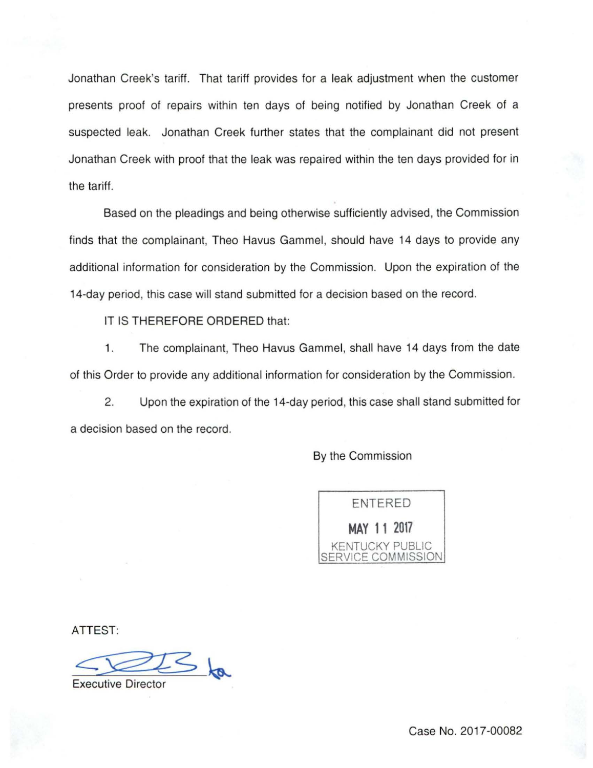Jonathan Creek's tariff. That tariff provides for a leak adjustment when the customer presents proof of repairs within ten days of being notified by Jonathan Creek of a suspected leak. Jonathan Creek further states that the complainant did not present Jonathan Creek with proof that the leak was repaired within the ten days provided for in the tariff.

Based on the pleadings and being otherwise sufficiently advised, the Commission finds that the complainant, Theo Havus Gammel, should have 14 days to provide any additional information for consideration by the Commission. Upon the expiration of the 14-day period, this case will stand submitted for a decision based on the record.

IT IS THEREFORE ORDERED that:

1. The complainant, Theo Havus Gammel, shall have 14 days from the date of this Order to provide any additional information for consideration by the Commission.

2. Upon the expiration of the 14-day period, this case shall stand submitted for a decision based on the record.

By the Commission

ENTERED **MAY 11 2017**  KENTUCKY PUBLIC SERVICE COMMISSION

ATTEST:

 $\leq t_{\alpha}$ 

**Executive Director** 

Case No. 2017-00082